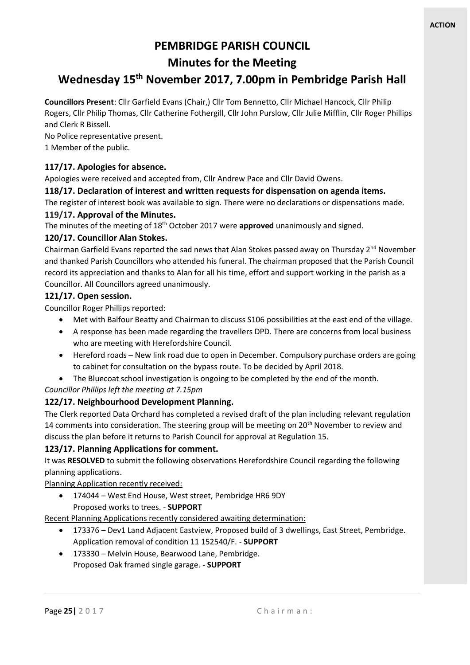## **PEMBRIDGE PARISH COUNCIL**

## **Minutes for the Meeting**

# **Wednesday 15 th November 2017, 7.00pm in Pembridge Parish Hall**

**Councillors Present**: Cllr Garfield Evans (Chair,) Cllr Tom Bennetto, Cllr Michael Hancock, Cllr Philip Rogers, Cllr Philip Thomas, Cllr Catherine Fothergill, Cllr John Purslow, Cllr Julie Mifflin, Cllr Roger Phillips and Clerk R Bissell.

No Police representative present. 1 Member of the public.

## **117/17. Apologies for absence.**

Apologies were received and accepted from, Cllr Andrew Pace and Cllr David Owens.

#### **118/17. Declaration of interest and written requests for dispensation on agenda items.**

The register of interest book was available to sign. There were no declarations or dispensations made.

#### **119/17. Approval of the Minutes.**

The minutes of the meeting of 18th October 2017 were **approved** unanimously and signed.

#### **120/17. Councillor Alan Stokes.**

Chairman Garfield Evans reported the sad news that Alan Stokes passed away on Thursday  $2^{nd}$  November and thanked Parish Councillors who attended his funeral. The chairman proposed that the Parish Council record its appreciation and thanks to Alan for all his time, effort and support working in the parish as a Councillor. All Councillors agreed unanimously.

#### **121/17. Open session.**

Councillor Roger Phillips reported:

- Met with Balfour Beatty and Chairman to discuss S106 possibilities at the east end of the village.
- A response has been made regarding the travellers DPD. There are concerns from local business who are meeting with Herefordshire Council.
- Hereford roads New link road due to open in December. Compulsory purchase orders are going to cabinet for consultation on the bypass route. To be decided by April 2018.
- The Bluecoat school investigation is ongoing to be completed by the end of the month.

#### *Councillor Phillips left the meeting at 7.15pm*

## **122/17. Neighbourhood Development Planning.**

The Clerk reported Data Orchard has completed a revised draft of the plan including relevant regulation 14 comments into consideration. The steering group will be meeting on  $20<sup>th</sup>$  November to review and discuss the plan before it returns to Parish Council for approval at Regulation 15.

## **123/17. Planning Applications for comment.**

It was **RESOLVED** to submit the following observations Herefordshire Council regarding the following planning applications.

Planning Application recently received:

• 174044 – West End House, West street, Pembridge HR6 9DY Proposed works to trees. - **SUPPORT**

Recent Planning Applications recently considered awaiting determination:

- 173376 Dev1 Land Adjacent Eastview, Proposed build of 3 dwellings, East Street, Pembridge. Application removal of condition 11 152540/F. - **SUPPORT**
- 173330 Melvin House, Bearwood Lane, Pembridge. Proposed Oak framed single garage. - **SUPPORT**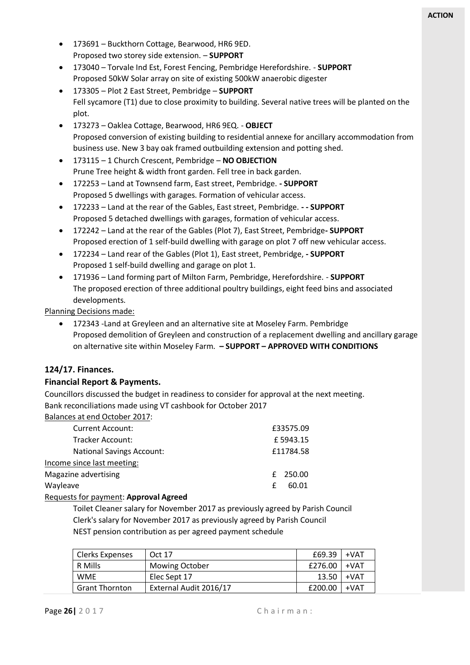- 173691 Buckthorn Cottage, Bearwood, HR6 9ED. Proposed two storey side extension. – **SUPPORT**
- 173040 Torvale Ind Est, Forest Fencing, Pembridge Herefordshire. **SUPPORT** Proposed 50kW Solar array on site of existing 500kW anaerobic digester
- 173305 Plot 2 East Street, Pembridge **SUPPORT** Fell sycamore (T1) due to close proximity to building. Several native trees will be planted on the plot.
- 173273 Oaklea Cottage, Bearwood, HR6 9EQ. **OBJECT** Proposed conversion of existing building to residential annexe for ancillary accommodation from business use. New 3 bay oak framed outbuilding extension and potting shed.
- 173115 1 Church Crescent, Pembridge **NO OBJECTION** Prune Tree height & width front garden. Fell tree in back garden.
- 172253 Land at Townsend farm, East street, Pembridge. **- SUPPORT** Proposed 5 dwellings with garages. Formation of vehicular access.
- 172233 Land at the rear of the Gables, East street, Pembridge. **- - SUPPORT** Proposed 5 detached dwellings with garages, formation of vehicular access.
- 172242 Land at the rear of the Gables (Plot 7), East Street, Pembridge**- SUPPORT** Proposed erection of 1 self-build dwelling with garage on plot 7 off new vehicular access.
- 172234 Land rear of the Gables (Plot 1), East street, Pembridge, **- SUPPORT** Proposed 1 self-build dwelling and garage on plot 1.
- 171936 Land forming part of Milton Farm, Pembridge, Herefordshire. **SUPPORT** The proposed erection of three additional poultry buildings, eight feed bins and associated developments.

Planning Decisions made:

• 172343 -Land at Greyleen and an alternative site at Moseley Farm. Pembridge Proposed demolition of Greyleen and construction of a replacement dwelling and ancillary garage on alternative site within Moseley Farm. **– SUPPORT – APPROVED WITH CONDITIONS**

## **124/17. Finances.**

#### **Financial Report & Payments.**

Councillors discussed the budget in readiness to consider for approval at the next meeting. Bank reconciliations made using VT cashbook for October 2017

Balances at end October 2017:

| <b>Current Account:</b>          | £33575.09  |
|----------------------------------|------------|
| Tracker Account:                 | £5943.15   |
| <b>National Savings Account:</b> | £11784.58  |
| Income since last meeting:       |            |
| Magazine advertising             | £ 250.00   |
| Wayleave                         | 60.01<br>f |
|                                  |            |

#### Requests for payment: **Approval Agreed**

Toilet Cleaner salary for November 2017 as previously agreed by Parish Council Clerk's salary for November 2017 as previously agreed by Parish Council NEST pension contribution as per agreed payment schedule

| Clerks Expenses       | Oct 17                 | £69.39  | +VAT   |
|-----------------------|------------------------|---------|--------|
| R Mills               | <b>Mowing October</b>  | £276.00 | $+VAT$ |
| <b>WMF</b>            | Elec Sept 17           | 13.50   | +VAT   |
| <b>Grant Thornton</b> | External Audit 2016/17 | £200.00 | $+VAT$ |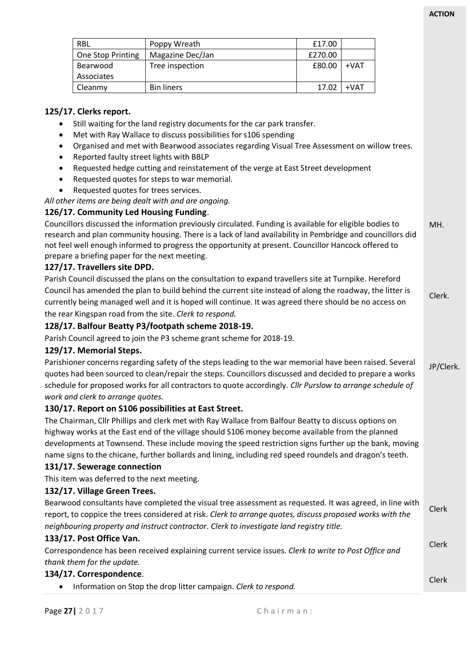|                                                                                                          | <b>RBL</b>                                                                                              | Poppy Wreath                                                                                               | £17.00  |        |  |              |  |  |
|----------------------------------------------------------------------------------------------------------|---------------------------------------------------------------------------------------------------------|------------------------------------------------------------------------------------------------------------|---------|--------|--|--------------|--|--|
|                                                                                                          | One Stop Printing                                                                                       | Magazine Dec/Jan                                                                                           | £270.00 |        |  |              |  |  |
|                                                                                                          | Bearwood                                                                                                | Tree inspection                                                                                            | £80.00  | $+VAT$ |  |              |  |  |
|                                                                                                          | Associates                                                                                              |                                                                                                            |         |        |  |              |  |  |
|                                                                                                          | Cleanmy                                                                                                 | <b>Bin liners</b>                                                                                          | 17.02   | $+VAT$ |  |              |  |  |
|                                                                                                          |                                                                                                         |                                                                                                            |         |        |  |              |  |  |
|                                                                                                          | 125/17. Clerks report.                                                                                  |                                                                                                            |         |        |  |              |  |  |
|                                                                                                          |                                                                                                         | Still waiting for the land registry documents for the car park transfer.                                   |         |        |  |              |  |  |
|                                                                                                          | Met with Ray Wallace to discuss possibilities for s106 spending                                         |                                                                                                            |         |        |  |              |  |  |
|                                                                                                          |                                                                                                         | Organised and met with Bearwood associates regarding Visual Tree Assessment on willow trees.               |         |        |  |              |  |  |
|                                                                                                          | Reported faulty street lights with BBLP                                                                 |                                                                                                            |         |        |  |              |  |  |
|                                                                                                          |                                                                                                         | Requested hedge cutting and reinstatement of the verge at East Street development                          |         |        |  |              |  |  |
|                                                                                                          |                                                                                                         | Requested quotes for steps to war memorial.                                                                |         |        |  |              |  |  |
|                                                                                                          | Requested quotes for trees services.                                                                    |                                                                                                            |         |        |  |              |  |  |
|                                                                                                          |                                                                                                         | All other items are being dealt with and are ongoing.                                                      |         |        |  |              |  |  |
|                                                                                                          | 126/17. Community Led Housing Funding.                                                                  |                                                                                                            |         |        |  |              |  |  |
|                                                                                                          |                                                                                                         | Councillors discussed the information previously circulated. Funding is available for eligible bodies to   |         |        |  | MH.          |  |  |
|                                                                                                          |                                                                                                         | research and plan community housing. There is a lack of land availability in Pembridge and councillors did |         |        |  |              |  |  |
|                                                                                                          |                                                                                                         | not feel well enough informed to progress the opportunity at present. Councillor Hancock offered to        |         |        |  |              |  |  |
|                                                                                                          | prepare a briefing paper for the next meeting.                                                          |                                                                                                            |         |        |  |              |  |  |
|                                                                                                          | 127/17. Travellers site DPD.                                                                            |                                                                                                            |         |        |  |              |  |  |
|                                                                                                          |                                                                                                         | Parish Council discussed the plans on the consultation to expand travellers site at Turnpike. Hereford     |         |        |  |              |  |  |
|                                                                                                          |                                                                                                         | Council has amended the plan to build behind the current site instead of along the roadway, the litter is  |         |        |  | Clerk.       |  |  |
|                                                                                                          |                                                                                                         | currently being managed well and it is hoped will continue. It was agreed there should be no access on     |         |        |  |              |  |  |
|                                                                                                          |                                                                                                         | the rear Kingspan road from the site. Clerk to respond.                                                    |         |        |  |              |  |  |
|                                                                                                          |                                                                                                         | 128/17. Balfour Beatty P3/footpath scheme 2018-19.                                                         |         |        |  |              |  |  |
|                                                                                                          |                                                                                                         | Parish Council agreed to join the P3 scheme grant scheme for 2018-19.                                      |         |        |  |              |  |  |
|                                                                                                          | 129/17. Memorial Steps.                                                                                 |                                                                                                            |         |        |  |              |  |  |
| Parishioner concerns regarding safety of the steps leading to the war memorial have been raised. Several |                                                                                                         |                                                                                                            |         |        |  |              |  |  |
|                                                                                                          | quotes had been sourced to clean/repair the steps. Councillors discussed and decided to prepare a works |                                                                                                            |         |        |  |              |  |  |
|                                                                                                          |                                                                                                         | schedule for proposed works for all contractors to quote accordingly. Cllr Purslow to arrange schedule of  |         |        |  |              |  |  |
|                                                                                                          | work and clerk to arrange quotes.                                                                       |                                                                                                            |         |        |  |              |  |  |
|                                                                                                          |                                                                                                         | 130/17. Report on S106 possibilities at East Street.                                                       |         |        |  |              |  |  |
|                                                                                                          |                                                                                                         | The Chairman, Cllr Phillips and clerk met with Ray Wallace from Balfour Beatty to discuss options on       |         |        |  |              |  |  |
|                                                                                                          |                                                                                                         | highway works at the East end of the village should S106 money become available from the planned           |         |        |  |              |  |  |
|                                                                                                          |                                                                                                         | developments at Townsend. These include moving the speed restriction signs further up the bank, moving     |         |        |  |              |  |  |
|                                                                                                          |                                                                                                         | name signs to the chicane, further bollards and lining, including red speed roundels and dragon's teeth.   |         |        |  |              |  |  |
|                                                                                                          |                                                                                                         |                                                                                                            |         |        |  |              |  |  |
|                                                                                                          | 131/17. Sewerage connection                                                                             |                                                                                                            |         |        |  |              |  |  |
|                                                                                                          | This item was deferred to the next meeting.                                                             |                                                                                                            |         |        |  |              |  |  |
|                                                                                                          | 132/17. Village Green Trees.                                                                            |                                                                                                            |         |        |  |              |  |  |
|                                                                                                          |                                                                                                         | Bearwood consultants have completed the visual tree assessment as requested. It was agreed, in line with   |         |        |  | Clerk        |  |  |
|                                                                                                          |                                                                                                         | report, to coppice the trees considered at risk. Clerk to arrange quotes, discuss proposed works with the  |         |        |  |              |  |  |
|                                                                                                          |                                                                                                         | neighbouring property and instruct contractor. Clerk to investigate land registry title.                   |         |        |  |              |  |  |
| 133/17. Post Office Van.                                                                                 |                                                                                                         |                                                                                                            |         |        |  |              |  |  |
|                                                                                                          |                                                                                                         | Correspondence has been received explaining current service issues. Clerk to write to Post Office and      |         |        |  | Clerk        |  |  |
|                                                                                                          | thank them for the update.                                                                              |                                                                                                            |         |        |  |              |  |  |
|                                                                                                          | 134/17. Correspondence.                                                                                 |                                                                                                            |         |        |  |              |  |  |
|                                                                                                          |                                                                                                         | Information on Stop the drop litter campaign. Clerk to respond.                                            |         |        |  | <b>Clerk</b> |  |  |
|                                                                                                          |                                                                                                         |                                                                                                            |         |        |  |              |  |  |